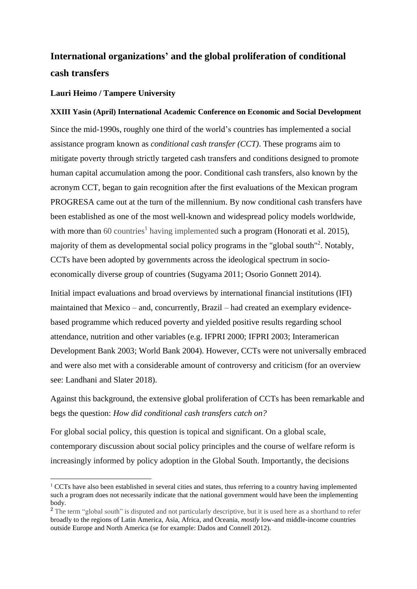## **International organizations' and the global proliferation of conditional cash transfers**

## **Lauri Heimo / Tampere University**

## **XXIII Yasin (April) International Academic Conference on Economic and Social Development**

Since the mid-1990s, roughly one third of the world's countries has implemented a social assistance program known as *conditional cash transfer (CCT)*. These programs aim to mitigate poverty through strictly targeted cash transfers and conditions designed to promote human capital accumulation among the poor. Conditional cash transfers, also known by the acronym CCT, began to gain recognition after the first evaluations of the Mexican program PROGRESA came out at the turn of the millennium. By now conditional cash transfers have been established as one of the most well-known and widespread policy models worldwide, with more than  $60$  countries<sup>1</sup> having implemented such a program (Honorati et al. 2015), majority of them as developmental social policy programs in the "global south"<sup>2</sup>. Notably, CCTs have been adopted by governments across the ideological spectrum in socioeconomically diverse group of countries (Sugyama 2011; Osorio Gonnett 2014).

Initial impact evaluations and broad overviews by international financial institutions (IFI) maintained that Mexico – and, concurrently, Brazil – had created an exemplary evidencebased programme which reduced poverty and yielded positive results regarding school attendance, nutrition and other variables (e.g. IFPRI 2000; IFPRI 2003; Interamerican Development Bank 2003; World Bank 2004). However, CCTs were not universally embraced and were also met with a considerable amount of controversy and criticism (for an overview see: Landhani and Slater 2018).

Against this background, the extensive global proliferation of CCTs has been remarkable and begs the question: *How did conditional cash transfers catch on?*

For global social policy, this question is topical and significant. On a global scale, contemporary discussion about social policy principles and the course of welfare reform is increasingly informed by policy adoption in the Global South. Importantly, the decisions

 $1$  CCTs have also been established in several cities and states, thus referring to a country having implemented such a program does not necessarily indicate that the national government would have been the implementing body.

<sup>&</sup>lt;sup>2</sup> The term "global south" is disputed and not particularly descriptive, but it is used here as a shorthand to refer broadly to the regions of Latin America, Asia, Africa, and Oceania, *mostly* low-and middle-income countries outside Europe and North America (se for example: Dados and Connell 2012).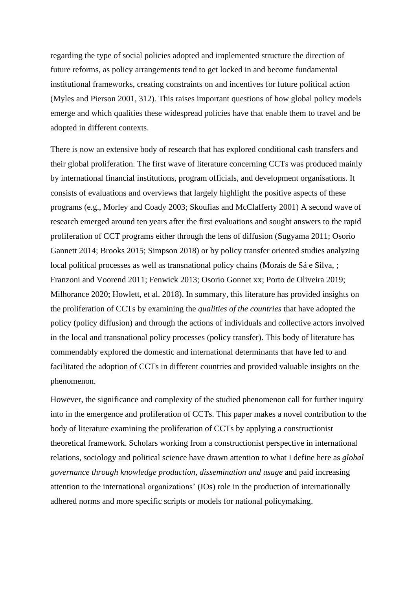regarding the type of social policies adopted and implemented structure the direction of future reforms, as policy arrangements tend to get locked in and become fundamental institutional frameworks, creating constraints on and incentives for future political action (Myles and Pierson 2001, 312). This raises important questions of how global policy models emerge and which qualities these widespread policies have that enable them to travel and be adopted in different contexts.

There is now an extensive body of research that has explored conditional cash transfers and their global proliferation. The first wave of literature concerning CCTs was produced mainly by international financial institutions, program officials, and development organisations. It consists of evaluations and overviews that largely highlight the positive aspects of these programs (e.g., Morley and Coady 2003; Skoufias and McClafferty 2001) A second wave of research emerged around ten years after the first evaluations and sought answers to the rapid proliferation of CCT programs either through the lens of diffusion (Sugyama 2011; Osorio Gannett 2014; Brooks 2015; Simpson 2018) or by policy transfer oriented studies analyzing local political processes as well as transnational policy chains (Morais de Sá e Silva, ; Franzoni and Voorend 2011; Fenwick 2013; Osorio Gonnet xx; Porto de Oliveira 2019; Milhorance 2020; Howlett, et al. 2018). In summary, this literature has provided insights on the proliferation of CCTs by examining the *qualities of the countries* that have adopted the policy (policy diffusion) and through the actions of individuals and collective actors involved in the local and transnational policy processes (policy transfer). This body of literature has commendably explored the domestic and international determinants that have led to and facilitated the adoption of CCTs in different countries and provided valuable insights on the phenomenon.

However, the significance and complexity of the studied phenomenon call for further inquiry into in the emergence and proliferation of CCTs. This paper makes a novel contribution to the body of literature examining the proliferation of CCTs by applying a constructionist theoretical framework. Scholars working from a constructionist perspective in international relations, sociology and political science have drawn attention to what I define here as *global governance through knowledge production, dissemination and usage* and paid increasing attention to the international organizations' (IOs) role in the production of internationally adhered norms and more specific scripts or models for national policymaking.